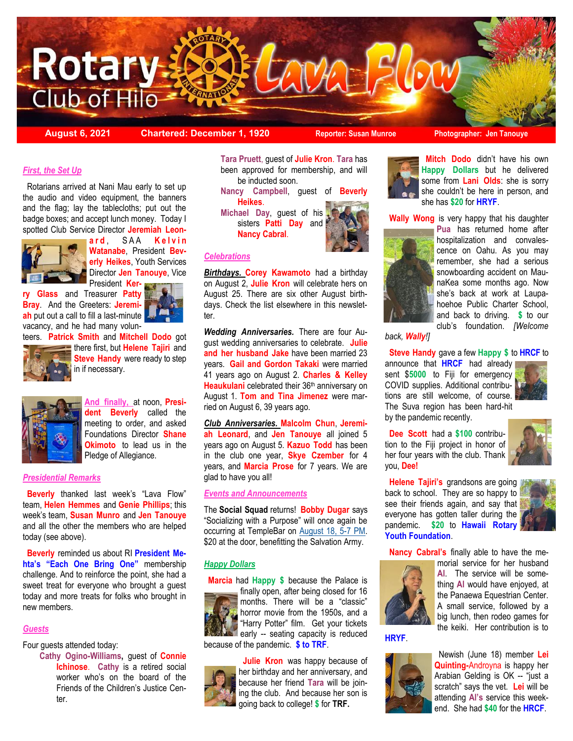

**August 6, 2021 Chartered: December 1, 1920 Reporter: Susan Munroe Photographer: Jen Tanouye**

## *First, the Set Up*

 Rotarians arrived at Nani Mau early to set up the audio and video equipment, the banners and the flag; lay the tablecloths; put out the badge boxes; and accept lunch money. Today I spotted Club Service Director **Jeremiah Leon-**



**a r d** , S A A **K e l v i n Watanabe**, President **Beverly Heikes**, Youth Services Director **Jen Tanouye**, Vice President **Ker-**

**ry Glass** and Treasurer **Patty Bray**. And the Greeters: **Jeremiah** put out a call to fill a last-minute vacancy, and he had many volunteers. **Patrick Smith** and **Mitchell Dodo** got



**there first, but Helene Tajiri** and **Steve Handy** were ready to step in if necessary.



**And finally,** at noon, **President Beverly** called the meeting to order, and asked Foundations Director **Shane Okimoto** to lead us in the Pledge of Allegiance.

### *Presidential Remarks*

 **Beverly** thanked last week's "Lava Flow" team, **Helen Hemmes** and **Genie Phillips**; this week's team, **Susan Munro** and **Jen Tanouye** and all the other the members who are helped today (see above).

 **Beverly** reminded us about RI **President Mehta's "Each One Bring One"** membership challenge. And to reinforce the point, she had a sweet treat for everyone who brought a guest today and more treats for folks who brought in new members.

#### *Guests*

Four guests attended today:

**Cathy Ogino-Williams,** guest of **Connie Ichinose**. **Cathy** is a retired social worker who's on the board of the Friends of the Children's Justice Center.

**Tara Pruett**, guest of **Julie Kron**. **Tara** has been approved for membership, and will be inducted soon.

**Nancy Campbell**, guest of **Beverly Heikes**.

**Michael Day**, guest of his sisters **Patti Day** and **Nancy Cabral**.



#### *Celebrations*

*Birthdays.* **Corey Kawamoto** had a birthday on August 2, **Julie Kron** will celebrate hers on August 25. There are six other August birthdays. Check the list elsewhere in this newsletter.

*Wedding Anniversaries.* There are four August wedding anniversaries to celebrate. **Julie and her husband Jake** have been married 23 years. **Gail and Gordon Takaki** were married 41 years ago on August 2. **Charles & Kelley**  Heaukulani celebrated their 36<sup>th</sup> anniversary on August 1. **Tom and Tina Jimenez** were married on August 6, 39 years ago.

*Club Anniversaries.* **Malcolm Chun**, **Jeremiah Leonard**, and **Jen Tanouye** all joined 5 years ago on August 5. **Kazuo Todd** has been in the club one year, **Skye Czember** for 4 years, and **Marcia Prose** for 7 years. We are glad to have you all!

## *Events and Announcements*

The **Social Squad** returns! **Bobby Dugar** says "Socializing with a Purpose" will once again be occurring at TempleBar on [August 18, 5-7 PM.](https://hilorotary.org/event/social-squad/)  \$20 at the door, benefitting the Salvation Army.

## *Happy Dollars*

 **Marcia** had **Happy \$** because the Palace is



finally open, after being closed for 16 months. There will be a "classic" horror movie from the 1950s, and a "Harry Potter" film. Get your tickets early -- seating capacity is reduced because of the pandemic. **\$ to TRF**.

 **Julie Kron** was happy because of her birthday and her anniversary, and because her friend **Tara** will be joining the club. And because her son is going back to college! **\$** for **TRF.**



 **Mitch Dodo** didn't have his own **Happy Dollars** but he delivered some from **Lani Olds**: she is sorry she couldn't be here in person, and she has **\$20** for **HRYF**.

**Wally Wong** is very happy that his daughter



**Pua** has returned home after hospitalization and convalescence on Oahu. As you may remember, she had a serious snowboarding accident on MaunaKea some months ago. Now she's back at work at Laupahoehoe Public Charter School, and back to driving. **\$** to our club's foundation. *[Welcome* 

*back, Wally!]*

**Steve Handy** gave a few **Happy \$** to **HRCF** to

announce that **HRCF** had already sent \$**5000** to Fiji for emergency COVID supplies. Additional contributions are still welcome, of course. The Suva region has been hard-hit by the pandemic recently.



 **Dee Scott** had a **\$100** contribution to the Fiji project in honor of her four years with the club. Thank you, **Dee!**



 **Helene Tajiri's** grandsons are going back to school. They are so happy to see their friends again, and say that everyone has gotten taller during the pandemic. **\$20** to **Hawaii Rotary Youth Foundation**.

**Nancy Cabral's** finally able to have the me-



morial service for her husband **Al**. The service will be something **Al** would have enjoyed, at the Panaewa Equestrian Center. A small service, followed by a big lunch, then rodeo games for the keiki. Her contribution is to

**HRYF**.



 Newish (June 18) member **Lei Quinting-**Androyna is happy her Arabian Gelding is OK -- "just a scratch" says the vet. **Lei** will be attending **Al's** service this weekend. She had **\$40** for the **HRCF**.